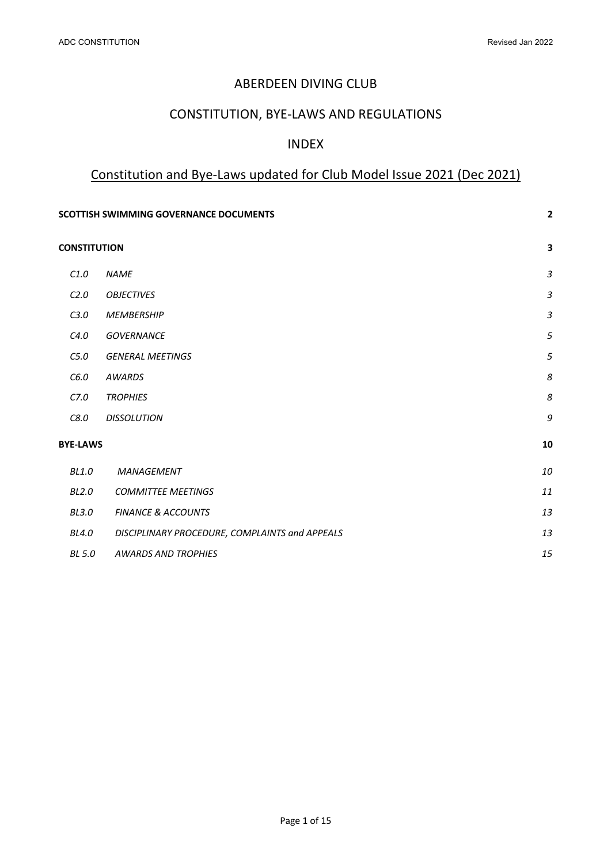## ABERDEEN DIVING CLUB

# CONSTITUTION, BYE-LAWS AND REGULATIONS

### INDEX

# Constitution and Bye-Laws updated for Club Model Issue 2021 (Dec 2021)

|                     | <b>SCOTTISH SWIMMING GOVERNANCE DOCUMENTS</b>  | $\mathbf{2}$              |
|---------------------|------------------------------------------------|---------------------------|
| <b>CONSTITUTION</b> |                                                | $\overline{\mathbf{3}}$   |
| C1.0                | <b>NAME</b>                                    | $\ensuremath{\mathsf{3}}$ |
| C <sub>2.0</sub>    | <b>OBJECTIVES</b>                              | $\mathfrak{Z}$            |
| C3.0                | <b>MEMBERSHIP</b>                              | $\ensuremath{\mathsf{3}}$ |
| C4.0                | <b>GOVERNANCE</b>                              | 5                         |
| C5.0                | <b>GENERAL MEETINGS</b>                        | 5                         |
| C6.0                | <b>AWARDS</b>                                  | 8                         |
| C7.0                | <b>TROPHIES</b>                                | 8                         |
| C8.0                | <b>DISSOLUTION</b>                             | 9                         |
| <b>BYE-LAWS</b>     |                                                | 10                        |
| <b>BL1.0</b>        | MANAGEMENT                                     | 10                        |
| <b>BL2.0</b>        | <b>COMMITTEE MEETINGS</b>                      | 11                        |
| <b>BL3.0</b>        | <b>FINANCE &amp; ACCOUNTS</b>                  | 13                        |
| <b>BL4.0</b>        | DISCIPLINARY PROCEDURE, COMPLAINTS and APPEALS | 13                        |
| BL 5.0              | <b>AWARDS AND TROPHIES</b>                     | 15                        |
|                     |                                                |                           |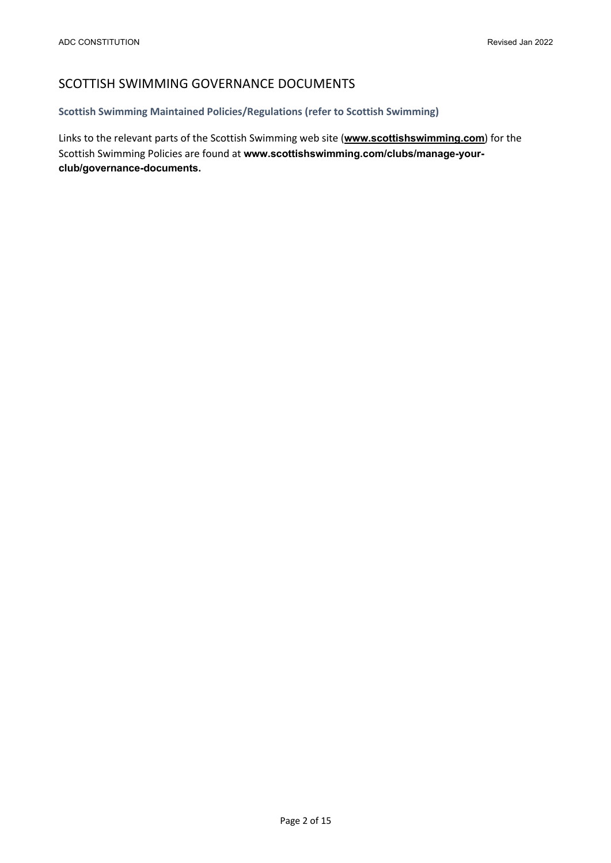# SCOTTISH SWIMMING GOVERNANCE DOCUMENTS

### **Scottish Swimming Maintained Policies/Regulations (refer to Scottish Swimming)**

Links to the relevant parts of the Scottish Swimming web site (**www.scottishswimming.com**) for the Scottish Swimming Policies are found at **www.scottishswimming.com/clubs/manage-yourclub/governance-documents.**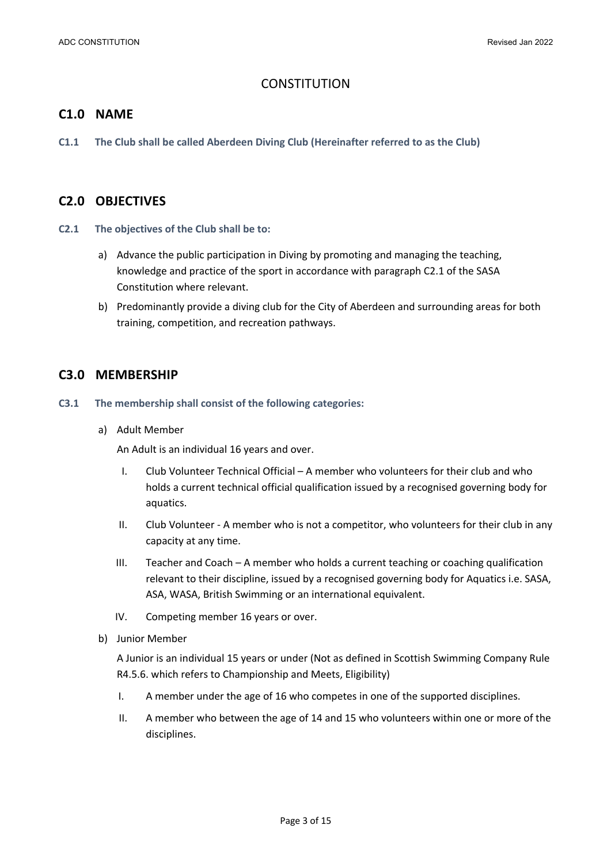# **CONSTITUTION**

### **C1.0 NAME**

**C1.1 The Club shall be called Aberdeen Diving Club (Hereinafter referred to as the Club)**

### **C2.0 OBJECTIVES**

- **C2.1 The objectives of the Club shall be to:**
	- a) Advance the public participation in Diving by promoting and managing the teaching, knowledge and practice of the sport in accordance with paragraph C2.1 of the SASA Constitution where relevant.
	- b) Predominantly provide a diving club for the City of Aberdeen and surrounding areas for both training, competition, and recreation pathways.

### **C3.0 MEMBERSHIP**

- **C3.1 The membership shall consist of the following categories:**
	- a) Adult Member

An Adult is an individual 16 years and over.

- I. Club Volunteer Technical Official A member who volunteers for their club and who holds a current technical official qualification issued by a recognised governing body for aquatics.
- II. Club Volunteer A member who is not a competitor, who volunteers for their club in any capacity at any time.
- III. Teacher and Coach A member who holds a current teaching or coaching qualification relevant to their discipline, issued by a recognised governing body for Aquatics i.e. SASA, ASA, WASA, British Swimming or an international equivalent.
- IV. Competing member 16 years or over.
- b) Junior Member

A Junior is an individual 15 years or under (Not as defined in Scottish Swimming Company Rule R4.5.6. which refers to Championship and Meets, Eligibility)

- I. A member under the age of 16 who competes in one of the supported disciplines.
- II. A member who between the age of 14 and 15 who volunteers within one or more of the disciplines.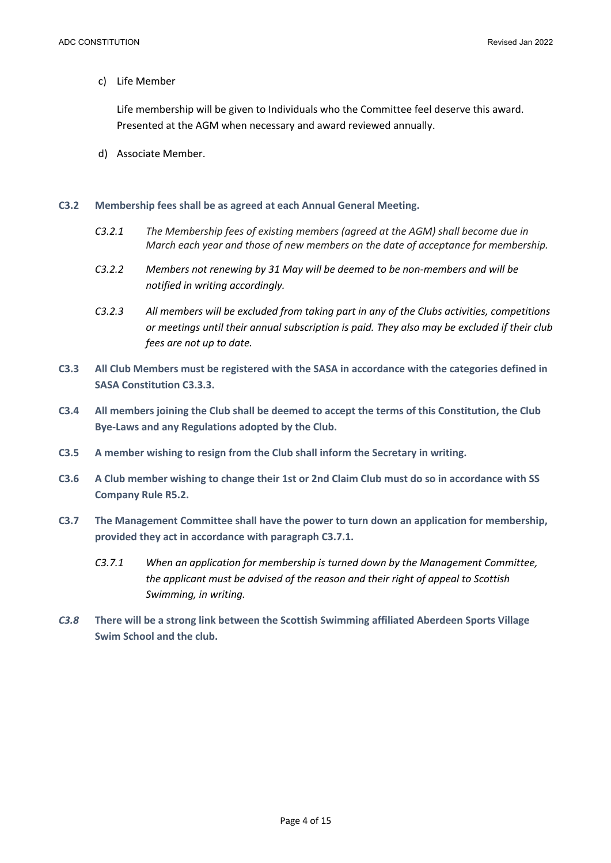c) Life Member

Life membership will be given to Individuals who the Committee feel deserve this award. Presented at the AGM when necessary and award reviewed annually.

d) Associate Member.

#### **C3.2 Membership fees shall be as agreed at each Annual General Meeting.**

- *C3.2.1 The Membership fees of existing members (agreed at the AGM) shall become due in March each year and those of new members on the date of acceptance for membership.*
- *C3.2.2 Members not renewing by 31 May will be deemed to be non-members and will be notified in writing accordingly.*
- *C3.2.3 All members will be excluded from taking part in any of the Clubs activities, competitions or meetings until their annual subscription is paid. They also may be excluded if their club fees are not up to date.*
- **C3.3 All Club Members must be registered with the SASA in accordance with the categories defined in SASA Constitution C3.3.3.**
- **C3.4 All members joining the Club shall be deemed to accept the terms of this Constitution, the Club Bye-Laws and any Regulations adopted by the Club.**
- **C3.5 A member wishing to resign from the Club shall inform the Secretary in writing.**
- **C3.6 A Club member wishing to change their 1st or 2nd Claim Club must do so in accordance with SS Company Rule R5.2.**
- **C3.7 The Management Committee shall have the power to turn down an application for membership, provided they act in accordance with paragraph C3.7.1.**
	- *C3.7.1 When an application for membership is turned down by the Management Committee, the applicant must be advised of the reason and their right of appeal to Scottish Swimming, in writing.*
- *C3.8* **There will be a strong link between the Scottish Swimming affiliated Aberdeen Sports Village Swim School and the club.**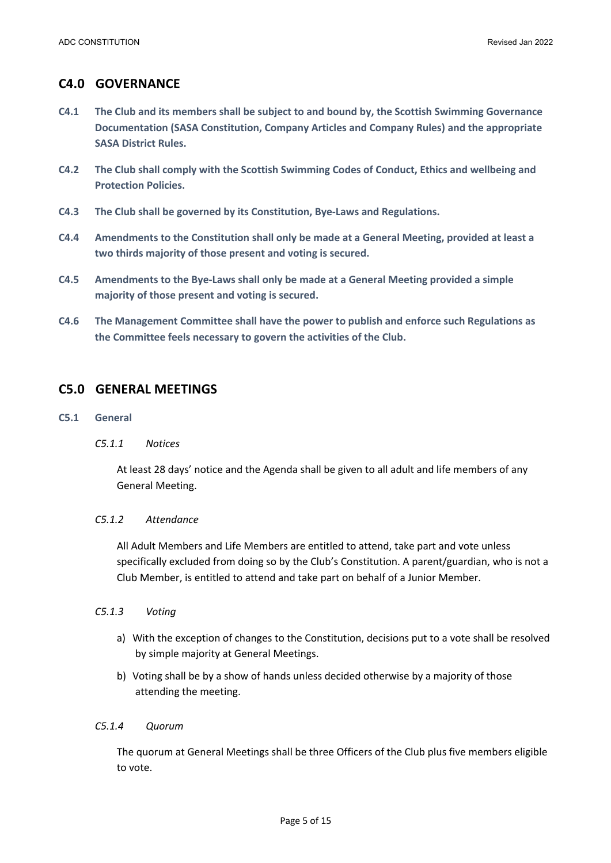# **C4.0 GOVERNANCE**

- **C4.1 The Club and its members shall be subject to and bound by, the Scottish Swimming Governance Documentation (SASA Constitution, Company Articles and Company Rules) and the appropriate SASA District Rules.**
- **C4.2 The Club shall comply with the Scottish Swimming Codes of Conduct, Ethics and wellbeing and Protection Policies.**
- **C4.3 The Club shall be governed by its Constitution, Bye-Laws and Regulations.**
- **C4.4 Amendments to the Constitution shall only be made at a General Meeting, provided at least a two thirds majority of those present and voting is secured.**
- **C4.5 Amendments to the Bye-Laws shall only be made at a General Meeting provided a simple majority of those present and voting is secured.**
- **C4.6 The Management Committee shall have the power to publish and enforce such Regulations as the Committee feels necessary to govern the activities of the Club.**

# **C5.0 GENERAL MEETINGS**

- **C5.1 General**
	- *C5.1.1 Notices*

At least 28 days' notice and the Agenda shall be given to all adult and life members of any General Meeting.

### *C5.1.2 Attendance*

All Adult Members and Life Members are entitled to attend, take part and vote unless specifically excluded from doing so by the Club's Constitution. A parent/guardian, who is not a Club Member, is entitled to attend and take part on behalf of a Junior Member.

- *C5.1.3 Voting*
	- a) With the exception of changes to the Constitution, decisions put to a vote shall be resolved by simple majority at General Meetings.
	- b) Voting shall be by a show of hands unless decided otherwise by a majority of those attending the meeting.

### *C5.1.4 Quorum*

The quorum at General Meetings shall be three Officers of the Club plus five members eligible to vote.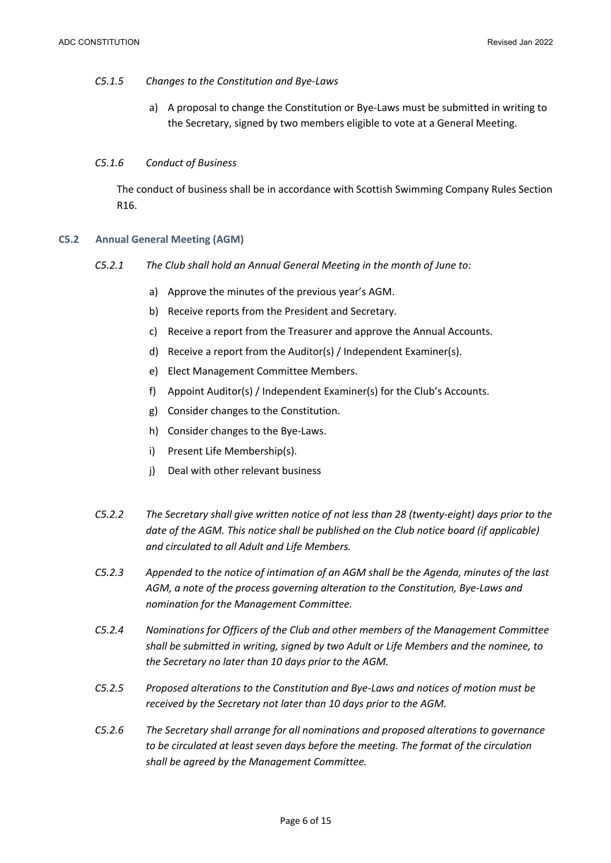#### *C5.1.5 Changes to the Constitution and Bye-Laws*

a) A proposal to change the Constitution or Bye-Laws must be submitted in writing to the Secretary, signed by two members eligible to vote at a General Meeting.

#### *C5.1.6 Conduct of Business*

The conduct of business shall be in accordance with Scottish Swimming Company Rules Section R16.

#### **C5.2 Annual General Meeting (AGM)**

- *C5.2.1 The Club shall hold an Annual General Meeting in the month of June to:*
	- a) Approve the minutes of the previous year's AGM.
	- b) Receive reports from the President and Secretary.
	- c) Receive a report from the Treasurer and approve the Annual Accounts.
	- d) Receive a report from the Auditor(s) / Independent Examiner(s).
	- e) Elect Management Committee Members.
	- f) Appoint Auditor(s) / Independent Examiner(s) for the Club's Accounts.
	- g) Consider changes to the Constitution.
	- h) Consider changes to the Bye-Laws.
	- i) Present Life Membership(s).
	- j) Deal with other relevant business
- *C5.2.2 The Secretary shall give written notice of not less than 28 (twenty-eight) days prior to the date of the AGM. This notice shall be published on the Club notice board (if applicable) and circulated to all Adult and Life Members.*
- *C5.2.3 Appended to the notice of intimation of an AGM shall be the Agenda, minutes of the last AGM, a note of the process governing alteration to the Constitution, Bye-Laws and nomination for the Management Committee.*
- *C5.2.4 Nominations for Officers of the Club and other members of the Management Committee shall be submitted in writing, signed by two Adult or Life Members and the nominee, to the Secretary no later than 10 days prior to the AGM.*
- *C5.2.5 Proposed alterations to the Constitution and Bye-Laws and notices of motion must be received by the Secretary not later than 10 days prior to the AGM.*
- *C5.2.6 The Secretary shall arrange for all nominations and proposed alterations to governance to be circulated at least seven days before the meeting. The format of the circulation shall be agreed by the Management Committee.*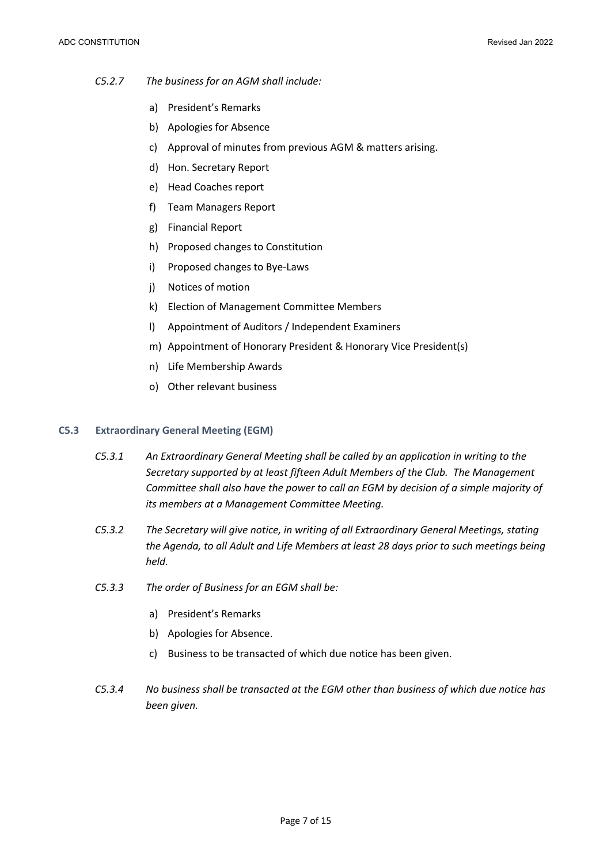#### *C5.2.7 The business for an AGM shall include:*

- a) President's Remarks
- b) Apologies for Absence
- c) Approval of minutes from previous AGM & matters arising.
- d) Hon. Secretary Report
- e) Head Coaches report
- f) Team Managers Report
- g) Financial Report
- h) Proposed changes to Constitution
- i) Proposed changes to Bye-Laws
- j) Notices of motion
- k) Election of Management Committee Members
- l) Appointment of Auditors / Independent Examiners
- m) Appointment of Honorary President & Honorary Vice President(s)
- n) Life Membership Awards
- o) Other relevant business

#### **C5.3 Extraordinary General Meeting (EGM)**

- *C5.3.1 An Extraordinary General Meeting shall be called by an application in writing to the Secretary supported by at least fifteen Adult Members of the Club. The Management Committee shall also have the power to call an EGM by decision of a simple majority of its members at a Management Committee Meeting.*
- *C5.3.2 The Secretary will give notice, in writing of all Extraordinary General Meetings, stating the Agenda, to all Adult and Life Members at least 28 days prior to such meetings being held.*
- *C5.3.3 The order of Business for an EGM shall be:*
	- a) President's Remarks
	- b) Apologies for Absence.
	- c) Business to be transacted of which due notice has been given.
- *C5.3.4 No business shall be transacted at the EGM other than business of which due notice has been given.*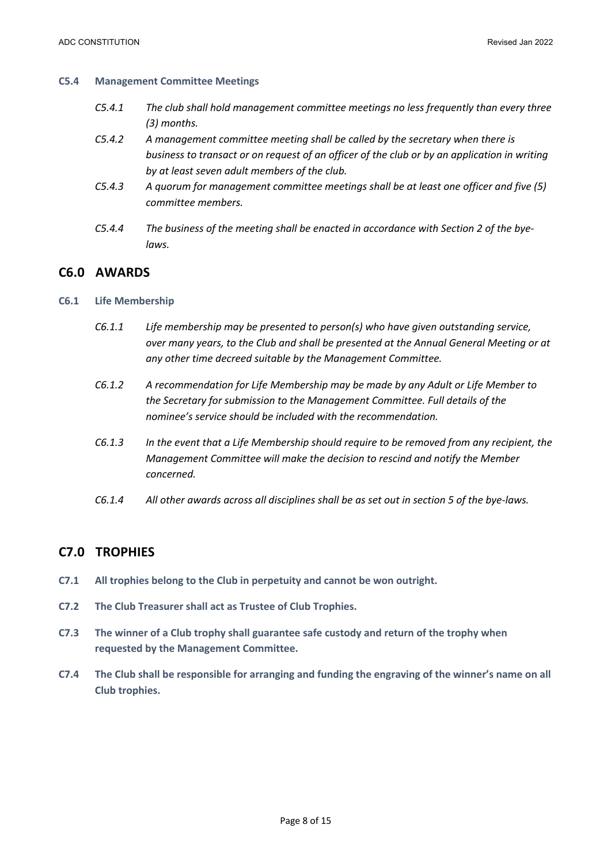#### **C5.4 Management Committee Meetings**

- *C5.4.1 The club shall hold management committee meetings no less frequently than every three (3) months.*
- *C5.4.2 A management committee meeting shall be called by the secretary when there is business to transact or on request of an officer of the club or by an application in writing by at least seven adult members of the club.*
- *C5.4.3 A quorum for management committee meetings shall be at least one officer and five (5) committee members.*
- *C5.4.4 The business of the meeting shall be enacted in accordance with Section 2 of the byelaws.*

### **C6.0 AWARDS**

#### **C6.1 Life Membership**

- *C6.1.1 Life membership may be presented to person(s) who have given outstanding service, over many years, to the Club and shall be presented at the Annual General Meeting or at any other time decreed suitable by the Management Committee.*
- *C6.1.2 A recommendation for Life Membership may be made by any Adult or Life Member to the Secretary for submission to the Management Committee. Full details of the nominee's service should be included with the recommendation.*
- *C6.1.3 In the event that a Life Membership should require to be removed from any recipient, the Management Committee will make the decision to rescind and notify the Member concerned.*
- *C6.1.4 All other awards across all disciplines shall be as set out in section 5 of the bye-laws.*

### **C7.0 TROPHIES**

- **C7.1 All trophies belong to the Club in perpetuity and cannot be won outright.**
- **C7.2 The Club Treasurer shall act as Trustee of Club Trophies.**
- **C7.3 The winner of a Club trophy shall guarantee safe custody and return of the trophy when requested by the Management Committee.**
- **C7.4 The Club shall be responsible for arranging and funding the engraving of the winner's name on all Club trophies.**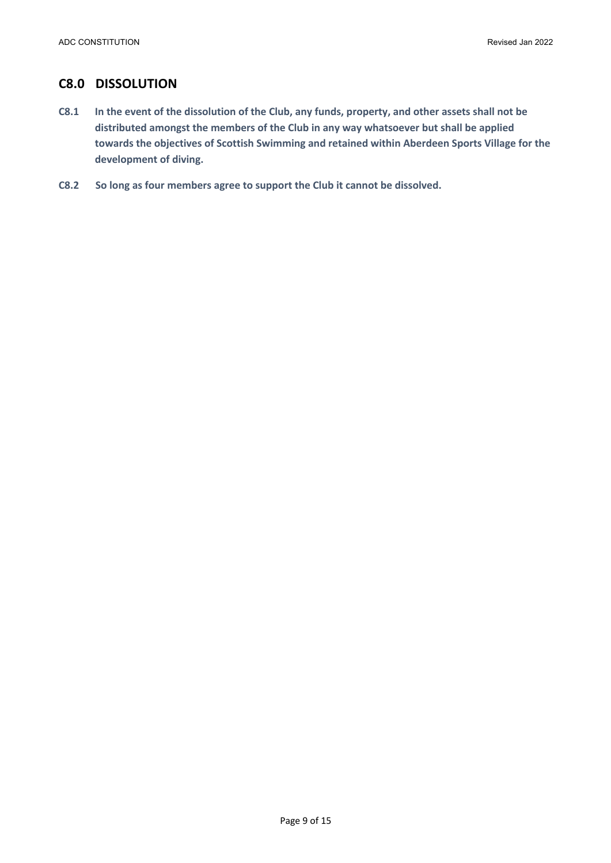## **C8.0 DISSOLUTION**

- **C8.1 In the event of the dissolution of the Club, any funds, property, and other assets shall not be distributed amongst the members of the Club in any way whatsoever but shall be applied towards the objectives of Scottish Swimming and retained within Aberdeen Sports Village for the development of diving.**
- **C8.2 So long as four members agree to support the Club it cannot be dissolved.**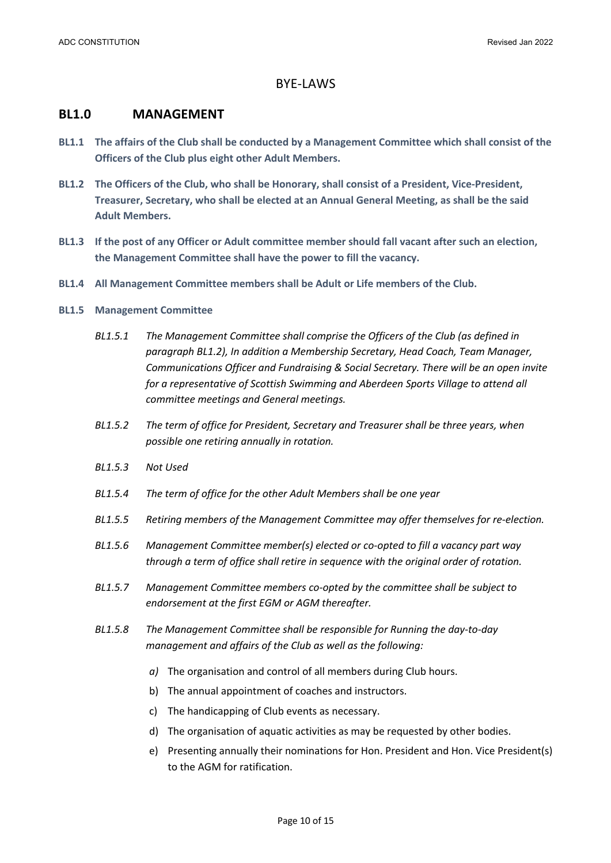### BYE-LAWS

### **BL1.0 MANAGEMENT**

- **BL1.1 The affairs of the Club shall be conducted by a Management Committee which shall consist of the Officers of the Club plus eight other Adult Members.**
- **BL1.2 The Officers of the Club, who shall be Honorary, shall consist of a President, Vice-President, Treasurer, Secretary, who shall be elected at an Annual General Meeting, as shall be the said Adult Members.**
- **BL1.3 If the post of any Officer or Adult committee member should fall vacant after such an election, the Management Committee shall have the power to fill the vacancy.**
- **BL1.4 All Management Committee members shall be Adult or Life members of the Club.**

### **BL1.5 Management Committee**

- *BL1.5.1 The Management Committee shall comprise the Officers of the Club (as defined in paragraph BL1.2), In addition a Membership Secretary, Head Coach, Team Manager, Communications Officer and Fundraising & Social Secretary. There will be an open invite for a representative of Scottish Swimming and Aberdeen Sports Village to attend all committee meetings and General meetings.*
- *BL1.5.2 The term of office for President, Secretary and Treasurer shall be three years, when possible one retiring annually in rotation.*
- *BL1.5.3 Not Used*
- *BL1.5.4 The term of office for the other Adult Members shall be one year*
- *BL1.5.5 Retiring members of the Management Committee may offer themselves for re-election.*
- *BL1.5.6 Management Committee member(s) elected or co-opted to fill a vacancy part way through a term of office shall retire in sequence with the original order of rotation.*
- *BL1.5.7 Management Committee members co-opted by the committee shall be subject to endorsement at the first EGM or AGM thereafter.*
- *BL1.5.8 The Management Committee shall be responsible for Running the day-to-day management and affairs of the Club as well as the following:*
	- *a)* The organisation and control of all members during Club hours.
	- b) The annual appointment of coaches and instructors.
	- c) The handicapping of Club events as necessary.
	- d) The organisation of aquatic activities as may be requested by other bodies.
	- e) Presenting annually their nominations for Hon. President and Hon. Vice President(s) to the AGM for ratification.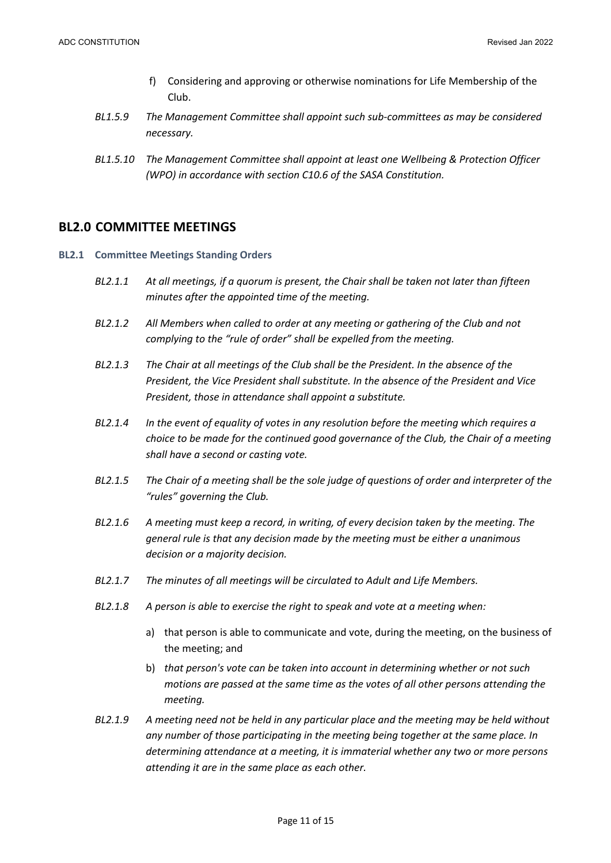- f) Considering and approving or otherwise nominations for Life Membership of the Club.
- *BL1.5.9 The Management Committee shall appoint such sub-committees as may be considered necessary.*
- *BL1.5.10 The Management Committee shall appoint at least one Wellbeing & Protection Officer (WPO) in accordance with section C10.6 of the SASA Constitution.*

### **BL2.0 COMMITTEE MEETINGS**

- **BL2.1 Committee Meetings Standing Orders**
	- *BL2.1.1 At all meetings, if a quorum is present, the Chair shall be taken not later than fifteen minutes after the appointed time of the meeting.*
	- *BL2.1.2 All Members when called to order at any meeting or gathering of the Club and not complying to the "rule of order" shall be expelled from the meeting.*
	- *BL2.1.3 The Chair at all meetings of the Club shall be the President. In the absence of the President, the Vice President shall substitute. In the absence of the President and Vice President, those in attendance shall appoint a substitute.*
	- *BL2.1.4 In the event of equality of votes in any resolution before the meeting which requires a choice to be made for the continued good governance of the Club, the Chair of a meeting shall have a second or casting vote.*
	- *BL2.1.5 The Chair of a meeting shall be the sole judge of questions of order and interpreter of the "rules" governing the Club.*
	- *BL2.1.6 A meeting must keep a record, in writing, of every decision taken by the meeting. The general rule is that any decision made by the meeting must be either a unanimous decision or a majority decision.*
	- *BL2.1.7 The minutes of all meetings will be circulated to Adult and Life Members.*
	- *BL2.1.8 A person is able to exercise the right to speak and vote at a meeting when:*
		- a) that person is able to communicate and vote, during the meeting, on the business of the meeting; and
		- b) *that person's vote can be taken into account in determining whether or not such motions are passed at the same time as the votes of all other persons attending the meeting.*
	- *BL2.1.9 A meeting need not be held in any particular place and the meeting may be held without any number of those participating in the meeting being together at the same place. In determining attendance at a meeting, it is immaterial whether any two or more persons attending it are in the same place as each other.*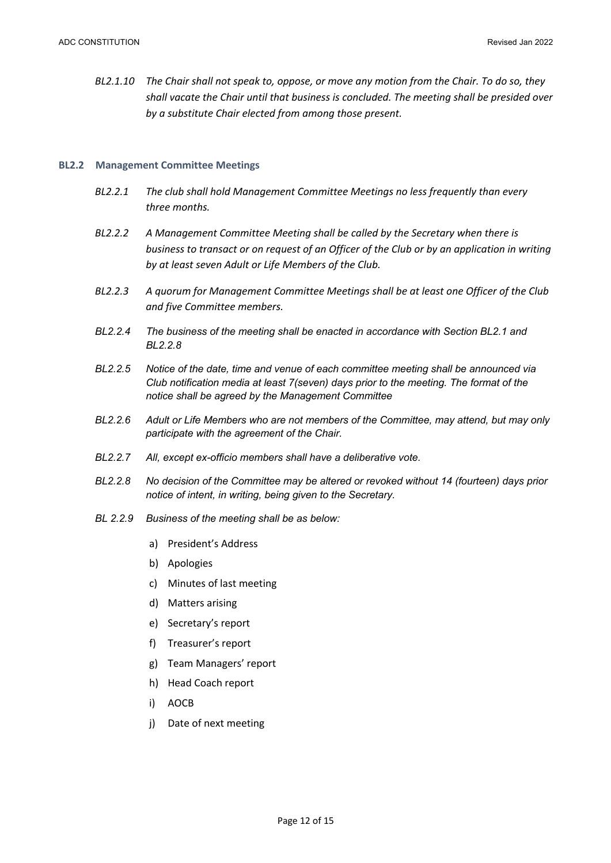*BL2.1.10 The Chair shall not speak to, oppose, or move any motion from the Chair. To do so, they shall vacate the Chair until that business is concluded. The meeting shall be presided over by a substitute Chair elected from among those present.*

#### **BL2.2 Management Committee Meetings**

- *BL2.2.1 The club shall hold Management Committee Meetings no less frequently than every three months.*
- *BL2.2.2 A Management Committee Meeting shall be called by the Secretary when there is business to transact or on request of an Officer of the Club or by an application in writing by at least seven Adult or Life Members of the Club.*
- *BL2.2.3 A quorum for Management Committee Meetings shall be at least one Officer of the Club and five Committee members.*
- *BL2.2.4 The business of the meeting shall be enacted in accordance with Section BL2.1 and BL2.2.8*
- *BL2.2.5 Notice of the date, time and venue of each committee meeting shall be announced via Club notification media at least 7(seven) days prior to the meeting. The format of the notice shall be agreed by the Management Committee*
- *BL2.2.6 Adult or Life Members who are not members of the Committee, may attend, but may only participate with the agreement of the Chair.*
- *BL2.2.7 All, except ex-officio members shall have a deliberative vote.*
- *BL2.2.8 No decision of the Committee may be altered or revoked without 14 (fourteen) days prior notice of intent, in writing, being given to the Secretary.*
- *BL 2.2.9 Business of the meeting shall be as below:*
	- a) President's Address
	- b) Apologies
	- c) Minutes of last meeting
	- d) Matters arising
	- e) Secretary's report
	- f) Treasurer's report
	- g) Team Managers' report
	- h) Head Coach report
	- i) AOCB
	- j) Date of next meeting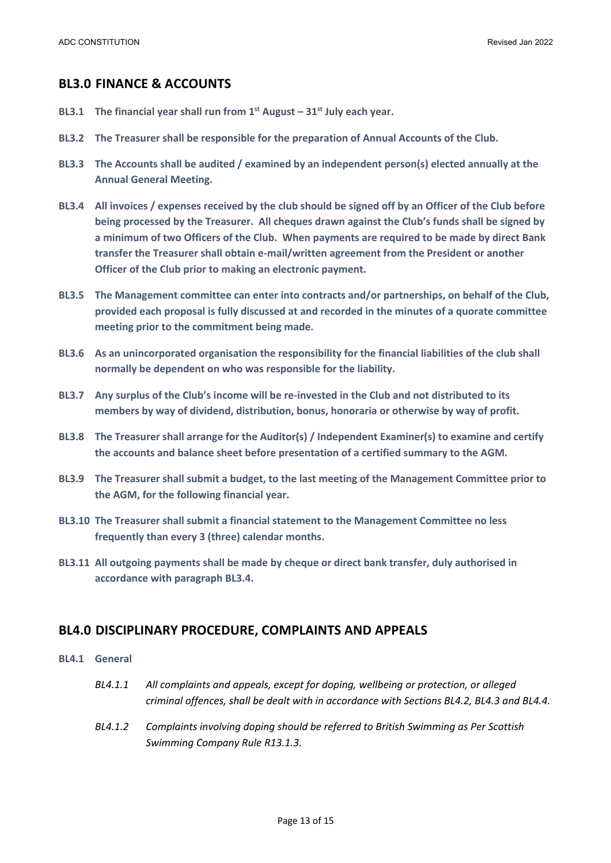### **BL3.0 FINANCE & ACCOUNTS**

- **BL3.1 The financial year shall run from 1st August – 31st July each year.**
- **BL3.2 The Treasurer shall be responsible for the preparation of Annual Accounts of the Club.**
- **BL3.3 The Accounts shall be audited / examined by an independent person(s) elected annually at the Annual General Meeting.**
- **BL3.4 All invoices / expenses received by the club should be signed off by an Officer of the Club before being processed by the Treasurer. All cheques drawn against the Club's funds shall be signed by a minimum of two Officers of the Club. When payments are required to be made by direct Bank transfer the Treasurer shall obtain e-mail/written agreement from the President or another Officer of the Club prior to making an electronic payment.**
- **BL3.5 The Management committee can enter into contracts and/or partnerships, on behalf of the Club, provided each proposal is fully discussed at and recorded in the minutes of a quorate committee meeting prior to the commitment being made.**
- **BL3.6 As an unincorporated organisation the responsibility for the financial liabilities of the club shall normally be dependent on who was responsible for the liability.**
- **BL3.7 Any surplus of the Club's income will be re-invested in the Club and not distributed to its members by way of dividend, distribution, bonus, honoraria or otherwise by way of profit.**
- **BL3.8 The Treasurer shall arrange for the Auditor(s) / Independent Examiner(s) to examine and certify the accounts and balance sheet before presentation of a certified summary to the AGM.**
- **BL3.9 The Treasurer shall submit a budget, to the last meeting of the Management Committee prior to the AGM, for the following financial year.**
- **BL3.10 The Treasurer shall submit a financial statement to the Management Committee no less frequently than every 3 (three) calendar months.**
- **BL3.11 All outgoing payments shall be made by cheque or direct bank transfer, duly authorised in accordance with paragraph BL3.4.**

### **BL4.0 DISCIPLINARY PROCEDURE, COMPLAINTS AND APPEALS**

- **BL4.1 General**
	- *BL4.1.1 All complaints and appeals, except for doping, wellbeing or protection, or alleged criminal offences, shall be dealt with in accordance with Sections BL4.2, BL4.3 and BL4.4.*
	- *BL4.1.2 Complaints involving doping should be referred to British Swimming as Per Scottish Swimming Company Rule R13.1.3.*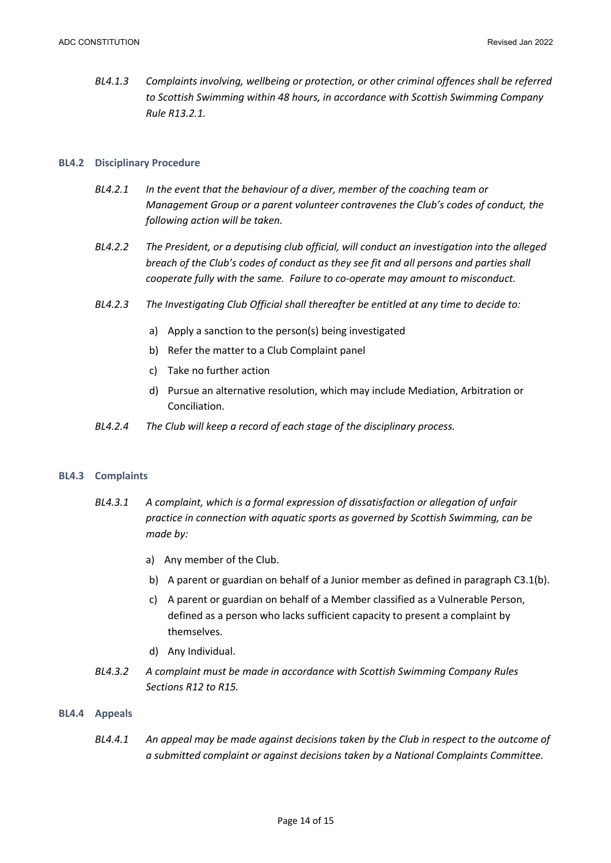*BL4.1.3 Complaints involving, wellbeing or protection, or other criminal offences shall be referred to Scottish Swimming within 48 hours, in accordance with Scottish Swimming Company Rule R13.2.1.*

### **BL4.2 Disciplinary Procedure**

- *BL4.2.1 In the event that the behaviour of a diver, member of the coaching team or Management Group or a parent volunteer contravenes the Club's codes of conduct, the following action will be taken.*
- *BL4.2.2 The President, or a deputising club official, will conduct an investigation into the alleged breach of the Club's codes of conduct as they see fit and all persons and parties shall cooperate fully with the same. Failure to co-operate may amount to misconduct.*
- *BL4.2.3 The Investigating Club Official shall thereafter be entitled at any time to decide to:*
	- a) Apply a sanction to the person(s) being investigated
	- b) Refer the matter to a Club Complaint panel
	- c) Take no further action
	- d) Pursue an alternative resolution, which may include Mediation, Arbitration or Conciliation.
- *BL4.2.4 The Club will keep a record of each stage of the disciplinary process.*

#### **BL4.3 Complaints**

- *BL4.3.1 A complaint, which is a formal expression of dissatisfaction or allegation of unfair practice in connection with aquatic sports as governed by Scottish Swimming, can be made by:*
	- a) Any member of the Club.
	- b) A parent or guardian on behalf of a Junior member as defined in paragraph C3.1(b).
	- c) A parent or guardian on behalf of a Member classified as a Vulnerable Person, defined as a person who lacks sufficient capacity to present a complaint by themselves.
	- d) Any Individual.
- *BL4.3.2 A complaint must be made in accordance with Scottish Swimming Company Rules Sections R12 to R15.*

#### **BL4.4 Appeals**

*BL4.4.1 An appeal may be made against decisions taken by the Club in respect to the outcome of a submitted complaint or against decisions taken by a National Complaints Committee.*